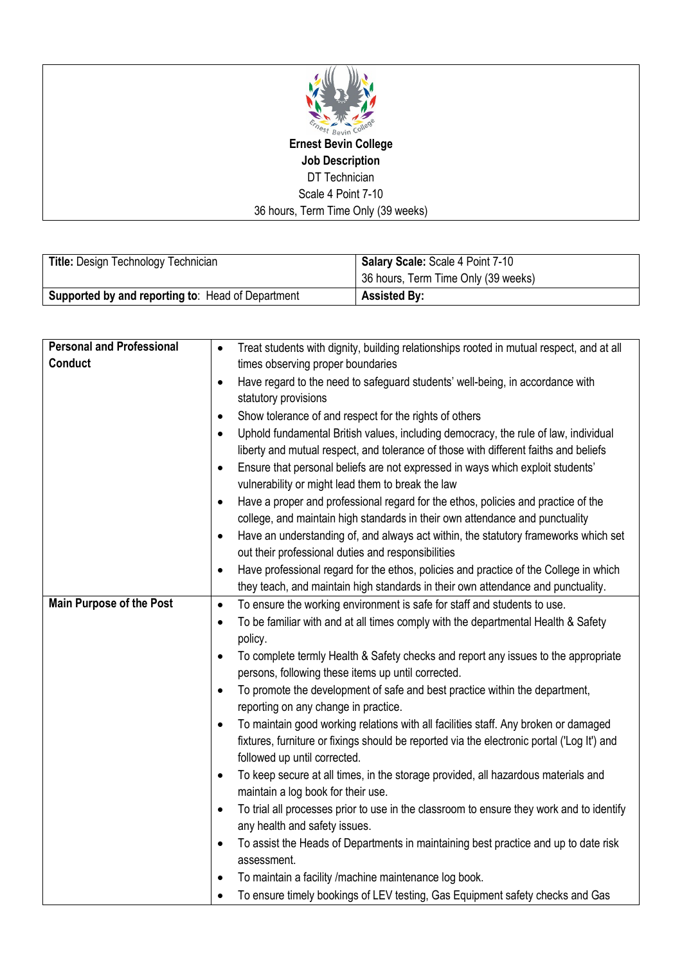

**Ernest Bevin College Job Description** DT Technician Scale 4 Point 7-10 36 hours, Term Time Only (39 weeks)

| Title: Design Technology Technician                      | Salary Scale: Scale 4 Point 7-10                 |
|----------------------------------------------------------|--------------------------------------------------|
|                                                          | <sup>1</sup> 36 hours, Term Time Only (39 weeks) |
| <b>Supported by and reporting to: Head of Department</b> | <b>Assisted By:</b>                              |

| <b>Personal and Professional</b> | $\bullet$ | Treat students with dignity, building relationships rooted in mutual respect, and at all   |
|----------------------------------|-----------|--------------------------------------------------------------------------------------------|
| <b>Conduct</b>                   |           | times observing proper boundaries                                                          |
|                                  | $\bullet$ | Have regard to the need to safeguard students' well-being, in accordance with              |
|                                  |           | statutory provisions                                                                       |
|                                  | $\bullet$ | Show tolerance of and respect for the rights of others                                     |
|                                  | $\bullet$ | Uphold fundamental British values, including democracy, the rule of law, individual        |
|                                  |           | liberty and mutual respect, and tolerance of those with different faiths and beliefs       |
|                                  | $\bullet$ | Ensure that personal beliefs are not expressed in ways which exploit students'             |
|                                  |           | vulnerability or might lead them to break the law                                          |
|                                  | $\bullet$ | Have a proper and professional regard for the ethos, policies and practice of the          |
|                                  |           | college, and maintain high standards in their own attendance and punctuality               |
|                                  | $\bullet$ | Have an understanding of, and always act within, the statutory frameworks which set        |
|                                  |           | out their professional duties and responsibilities                                         |
|                                  | $\bullet$ | Have professional regard for the ethos, policies and practice of the College in which      |
|                                  |           | they teach, and maintain high standards in their own attendance and punctuality.           |
| <b>Main Purpose of the Post</b>  | $\bullet$ | To ensure the working environment is safe for staff and students to use.                   |
|                                  | $\bullet$ | To be familiar with and at all times comply with the departmental Health & Safety          |
|                                  |           | policy.                                                                                    |
|                                  | $\bullet$ | To complete termly Health & Safety checks and report any issues to the appropriate         |
|                                  |           | persons, following these items up until corrected.                                         |
|                                  | $\bullet$ | To promote the development of safe and best practice within the department,                |
|                                  |           | reporting on any change in practice.                                                       |
|                                  | $\bullet$ | To maintain good working relations with all facilities staff. Any broken or damaged        |
|                                  |           | fixtures, furniture or fixings should be reported via the electronic portal ('Log It') and |
|                                  |           | followed up until corrected.                                                               |
|                                  | $\bullet$ | To keep secure at all times, in the storage provided, all hazardous materials and          |
|                                  |           | maintain a log book for their use.                                                         |
|                                  | $\bullet$ | To trial all processes prior to use in the classroom to ensure they work and to identify   |
|                                  |           | any health and safety issues.                                                              |
|                                  | $\bullet$ | To assist the Heads of Departments in maintaining best practice and up to date risk        |
|                                  |           | assessment.                                                                                |
|                                  | $\bullet$ | To maintain a facility /machine maintenance log book.                                      |
|                                  | $\bullet$ | To ensure timely bookings of LEV testing, Gas Equipment safety checks and Gas              |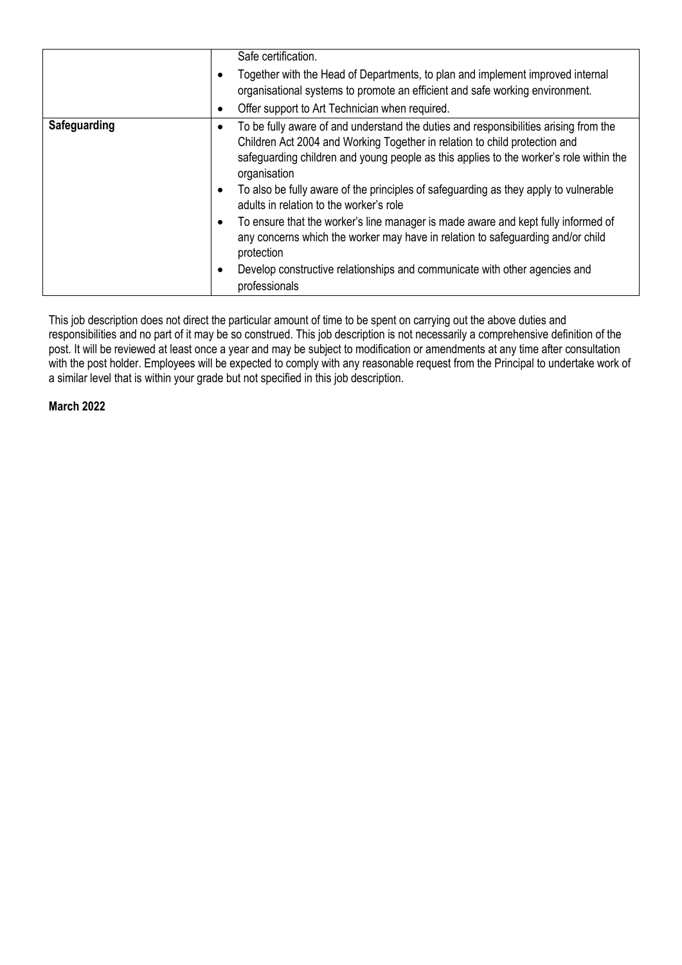|                     |                                          | Safe certification.<br>Together with the Head of Departments, to plan and implement improved internal<br>organisational systems to promote an efficient and safe working environment.<br>Offer support to Art Technician when required.                                                                                                                                                                                                                                                                                                                                                                                                                                                              |
|---------------------|------------------------------------------|------------------------------------------------------------------------------------------------------------------------------------------------------------------------------------------------------------------------------------------------------------------------------------------------------------------------------------------------------------------------------------------------------------------------------------------------------------------------------------------------------------------------------------------------------------------------------------------------------------------------------------------------------------------------------------------------------|
| <b>Safeguarding</b> | $\bullet$<br>$\bullet$<br>$\bullet$<br>٠ | To be fully aware of and understand the duties and responsibilities arising from the<br>Children Act 2004 and Working Together in relation to child protection and<br>safeguarding children and young people as this applies to the worker's role within the<br>organisation<br>To also be fully aware of the principles of safeguarding as they apply to vulnerable<br>adults in relation to the worker's role<br>To ensure that the worker's line manager is made aware and kept fully informed of<br>any concerns which the worker may have in relation to safeguarding and/or child<br>protection<br>Develop constructive relationships and communicate with other agencies and<br>professionals |

This job description does not direct the particular amount of time to be spent on carrying out the above duties and responsibilities and no part of it may be so construed. This job description is not necessarily a comprehensive definition of the post. It will be reviewed at least once a year and may be subject to modification or amendments at any time after consultation with the post holder. Employees will be expected to comply with any reasonable request from the Principal to undertake work of a similar level that is within your grade but not specified in this job description.

**March 2022**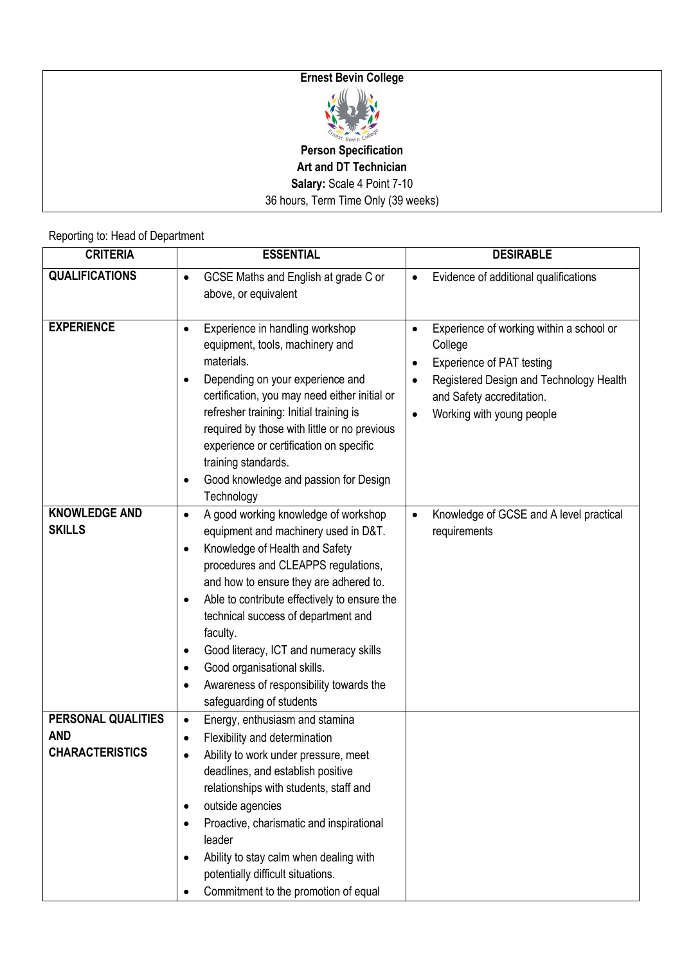## **Ernest Bevin College**



**Person Specification Art and DT Technician Salary:** Scale 4 Point 7-10 36 hours, Term Time Only (39 weeks)

Reporting to: Head of Department

| <b>CRITERIA</b>                                            | <b>ESSENTIAL</b>                                                                                                                                                                                                                                                                                                                                                                                                                                                                                                                 | <b>DESIRABLE</b>                                                                                                                                                                                                |
|------------------------------------------------------------|----------------------------------------------------------------------------------------------------------------------------------------------------------------------------------------------------------------------------------------------------------------------------------------------------------------------------------------------------------------------------------------------------------------------------------------------------------------------------------------------------------------------------------|-----------------------------------------------------------------------------------------------------------------------------------------------------------------------------------------------------------------|
| <b>QUALIFICATIONS</b>                                      | GCSE Maths and English at grade C or<br>$\bullet$<br>above, or equivalent                                                                                                                                                                                                                                                                                                                                                                                                                                                        | Evidence of additional qualifications<br>$\bullet$                                                                                                                                                              |
| <b>EXPERIENCE</b>                                          | Experience in handling workshop<br>$\bullet$<br>equipment, tools, machinery and<br>materials.<br>Depending on your experience and<br>$\bullet$<br>certification, you may need either initial or<br>refresher training: Initial training is<br>required by those with little or no previous<br>experience or certification on specific<br>training standards.<br>Good knowledge and passion for Design<br>Technology                                                                                                              | Experience of working within a school or<br>$\bullet$<br>College<br>Experience of PAT testing<br>Registered Design and Technology Health<br>and Safety accreditation.<br>Working with young people<br>$\bullet$ |
| <b>KNOWLEDGE AND</b><br><b>SKILLS</b>                      | A good working knowledge of workshop<br>$\bullet$<br>equipment and machinery used in D&T.<br>Knowledge of Health and Safety<br>$\bullet$<br>procedures and CLEAPPS regulations,<br>and how to ensure they are adhered to.<br>Able to contribute effectively to ensure the<br>$\bullet$<br>technical success of department and<br>faculty.<br>Good literacy, ICT and numeracy skills<br>$\bullet$<br>Good organisational skills.<br>$\bullet$<br>Awareness of responsibility towards the<br>$\bullet$<br>safeguarding of students | Knowledge of GCSE and A level practical<br>requirements                                                                                                                                                         |
| PERSONAL QUALITIES<br><b>AND</b><br><b>CHARACTERISTICS</b> | Energy, enthusiasm and stamina<br>$\bullet$<br>Flexibility and determination<br>$\bullet$<br>Ability to work under pressure, meet<br>deadlines, and establish positive<br>relationships with students, staff and<br>outside agencies<br>Proactive, charismatic and inspirational<br>leader<br>Ability to stay calm when dealing with<br>potentially difficult situations.<br>Commitment to the promotion of equal                                                                                                                |                                                                                                                                                                                                                 |